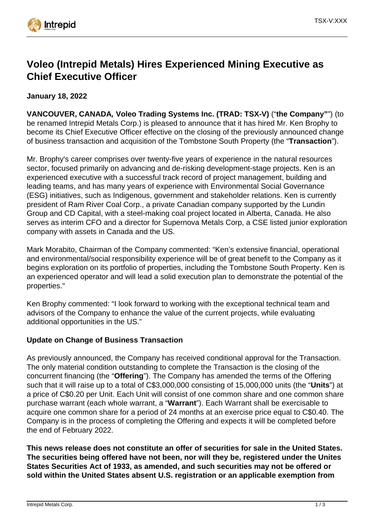

# **Voleo (Intrepid Metals) Hires Experienced Mining Executive as Chief Executive Officer**

**January 18, 2022**

**VANCOUVER, CANADA, Voleo Trading Systems Inc. (TRAD: TSX-V)** ("**the Company"**") (to be renamed Intrepid Metals Corp.) is pleased to announce that it has hired Mr. Ken Brophy to become its Chief Executive Officer effective on the closing of the previously announced change of business transaction and acquisition of the Tombstone South Property (the "**Transaction**").

Mr. Brophy's career comprises over twenty-five years of experience in the natural resources sector, focused primarily on advancing and de-risking development-stage projects. Ken is an experienced executive with a successful track record of project management, building and leading teams, and has many years of experience with Environmental Social Governance (ESG) initiatives, such as Indigenous, government and stakeholder relations. Ken is currently president of Ram River Coal Corp., a private Canadian company supported by the Lundin Group and CD Capital, with a steel-making coal project located in Alberta, Canada. He also serves as interim CFO and a director for Supernova Metals Corp, a CSE listed junior exploration company with assets in Canada and the US.

Mark Morabito, Chairman of the Company commented: "Ken's extensive financial, operational and environmental/social responsibility experience will be of great benefit to the Company as it begins exploration on its portfolio of properties, including the Tombstone South Property. Ken is an experienced operator and will lead a solid execution plan to demonstrate the potential of the properties."

Ken Brophy commented: "I look forward to working with the exceptional technical team and advisors of the Company to enhance the value of the current projects, while evaluating additional opportunities in the US."

# **Update on Change of Business Transaction**

As previously announced, the Company has received conditional approval for the Transaction. The only material condition outstanding to complete the Transaction is the closing of the concurrent financing (the "**Offering**"). The Company has amended the terms of the Offering such that it will raise up to a total of C\$3,000,000 consisting of 15,000,000 units (the "**Units**") at a price of C\$0.20 per Unit. Each Unit will consist of one common share and one common share purchase warrant (each whole warrant, a "**Warrant**"). Each Warrant shall be exercisable to acquire one common share for a period of 24 months at an exercise price equal to C\$0.40. The Company is in the process of completing the Offering and expects it will be completed before the end of February 2022.

**This news release does not constitute an offer of securities for sale in the United States. The securities being offered have not been, nor will they be, registered under the Unites States Securities Act of 1933, as amended, and such securities may not be offered or sold within the United States absent U.S. registration or an applicable exemption from**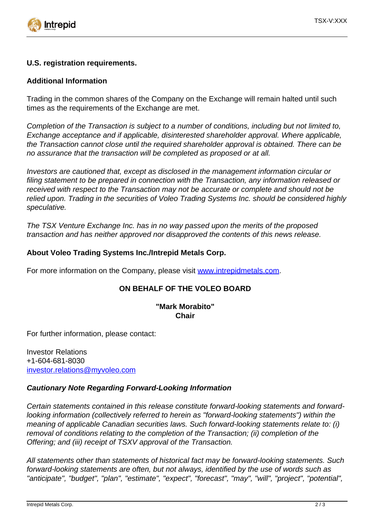

#### **U.S. registration requirements.**

### **Additional Information**

Trading in the common shares of the Company on the Exchange will remain halted until such times as the requirements of the Exchange are met.

Completion of the Transaction is subject to a number of conditions, including but not limited to, Exchange acceptance and if applicable, disinterested shareholder approval. Where applicable, the Transaction cannot close until the required shareholder approval is obtained. There can be no assurance that the transaction will be completed as proposed or at all.

Investors are cautioned that, except as disclosed in the management information circular or filing statement to be prepared in connection with the Transaction, any information released or received with respect to the Transaction may not be accurate or complete and should not be relied upon. Trading in the securities of Voleo Trading Systems Inc. should be considered highly speculative.

The TSX Venture Exchange Inc. has in no way passed upon the merits of the proposed transaction and has neither approved nor disapproved the contents of this news release.

## **About Voleo Trading Systems Inc./Intrepid Metals Corp.**

For more information on the Company, please visit [www.intrepidmetals.com.](https://www.newsfilecorp.com/redirect/aVzzzhoV25)

# **ON BEHALF OF THE VOLEO BOARD**

#### **"Mark Morabito" Chair**

For further information, please contact:

Investor Relations +1-604-681-8030 [investor.relations@myvoleo.com](mailto:investor.relations@myvoleo.com)

#### **Cautionary Note Regarding Forward-Looking Information**

Certain statements contained in this release constitute forward-looking statements and forwardlooking information (collectively referred to herein as "forward-looking statements") within the meaning of applicable Canadian securities laws. Such forward-looking statements relate to: (i) removal of conditions relating to the completion of the Transaction; (ii) completion of the Offering; and (iii) receipt of TSXV approval of the Transaction.

All statements other than statements of historical fact may be forward-looking statements. Such forward-looking statements are often, but not always, identified by the use of words such as "anticipate", "budget", "plan", "estimate", "expect", "forecast", "may", "will", "project", "potential",